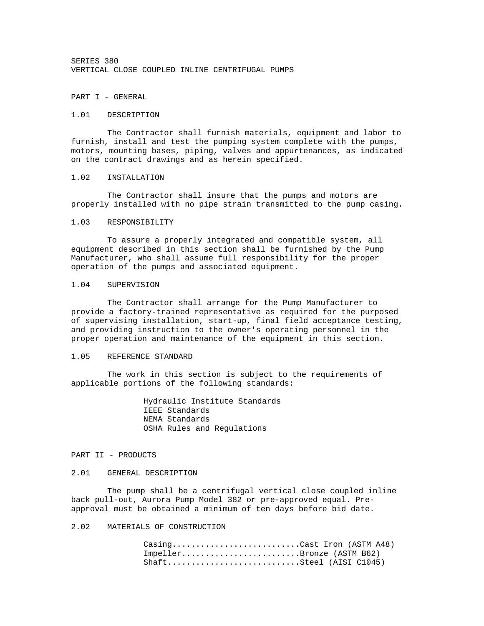SERIES 380 VERTICAL CLOSE COUPLED INLINE CENTRIFUGAL PUMPS

PART I - GENERAL

#### 1.01 DESCRIPTION

 The Contractor shall furnish materials, equipment and labor to furnish, install and test the pumping system complete with the pumps, motors, mounting bases, piping, valves and appurtenances, as indicated on the contract drawings and as herein specified.

#### 1.02 INSTALLATION

 The Contractor shall insure that the pumps and motors are properly installed with no pipe strain transmitted to the pump casing.

## 1.03 RESPONSIBILITY

 To assure a properly integrated and compatible system, all equipment described in this section shall be furnished by the Pump Manufacturer, who shall assume full responsibility for the proper operation of the pumps and associated equipment.

#### 1.04 SUPERVISION

 The Contractor shall arrange for the Pump Manufacturer to provide a factory-trained representative as required for the purposed of supervising installation, start-up, final field acceptance testing, and providing instruction to the owner's operating personnel in the proper operation and maintenance of the equipment in this section.

## 1.05 REFERENCE STANDARD

 The work in this section is subject to the requirements of applicable portions of the following standards:

> Hydraulic Institute Standards IEEE Standards NEMA Standards OSHA Rules and Regulations

## PART II - PRODUCTS

#### 2.01 GENERAL DESCRIPTION

 The pump shall be a centrifugal vertical close coupled inline back pull-out, Aurora Pump Model 382 or pre-approved equal. Preapproval must be obtained a minimum of ten days before bid date.

# 2.02 MATERIALS OF CONSTRUCTION

| $\text{Casing}\ldots\ldots\ldots\ldots\ldots\ldots\ldots\ldots\ldots\text{Cast}$ Iron (ASTM A48) |  |
|--------------------------------------------------------------------------------------------------|--|
| ImpellerBronze (ASTM B62)                                                                        |  |
|                                                                                                  |  |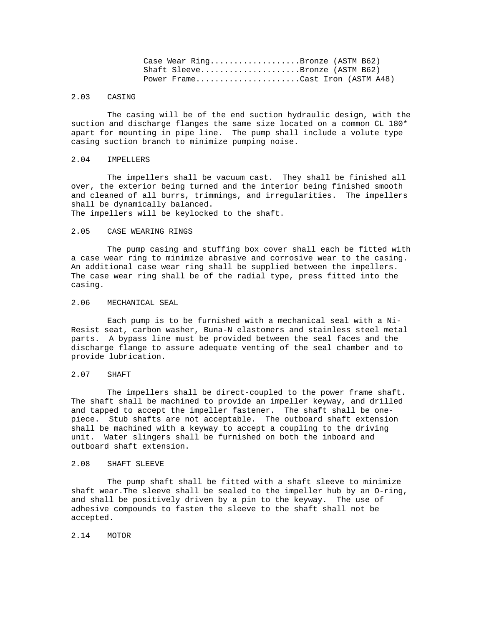| Case Wear $Ring$ Bronze (ASTM B62) |  |  |
|------------------------------------|--|--|
| Shaft SleeveBronze (ASTM B62)      |  |  |
| Power FrameCast Iron (ASTM A48)    |  |  |

# 2.03 CASING

 The casing will be of the end suction hydraulic design, with the suction and discharge flanges the same size located on a common CL 180\* apart for mounting in pipe line. The pump shall include a volute type casing suction branch to minimize pumping noise.

#### 2.04 IMPELLERS

 The impellers shall be vacuum cast. They shall be finished all over, the exterior being turned and the interior being finished smooth and cleaned of all burrs, trimmings, and irregularities. The impellers shall be dynamically balanced.

The impellers will be keylocked to the shaft.

## 2.05 CASE WEARING RINGS

 The pump casing and stuffing box cover shall each be fitted with a case wear ring to minimize abrasive and corrosive wear to the casing. An additional case wear ring shall be supplied between the impellers. The case wear ring shall be of the radial type, press fitted into the casing.

## 2.06 MECHANICAL SEAL

 Each pump is to be furnished with a mechanical seal with a Ni-Resist seat, carbon washer, Buna-N elastomers and stainless steel metal parts. A bypass line must be provided between the seal faces and the discharge flange to assure adequate venting of the seal chamber and to provide lubrication.

# 2.07 SHAFT

 The impellers shall be direct-coupled to the power frame shaft. The shaft shall be machined to provide an impeller keyway, and drilled and tapped to accept the impeller fastener. The shaft shall be onepiece. Stub shafts are not acceptable. The outboard shaft extension shall be machined with a keyway to accept a coupling to the driving unit. Water slingers shall be furnished on both the inboard and outboard shaft extension.

## 2.08 SHAFT SLEEVE

 The pump shaft shall be fitted with a shaft sleeve to minimize shaft wear.The sleeve shall be sealed to the impeller hub by an O-ring, and shall be positively driven by a pin to the keyway. The use of adhesive compounds to fasten the sleeve to the shaft shall not be accepted.

#### 2.14 MOTOR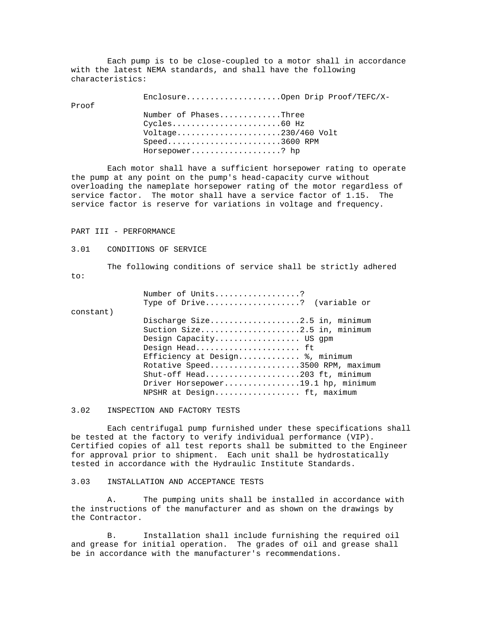Each pump is to be close-coupled to a motor shall in accordance with the latest NEMA standards, and shall have the following characteristics:

Enclosure....................Open Drip Proof/TEFC/X-

Proof

 Number of Phases.............Three Cycles.......................60 Hz Voltage......................230/460 Volt Speed........................3600 RPM Horsepower...................? hp

 Each motor shall have a sufficient horsepower rating to operate the pump at any point on the pump's head-capacity curve without overloading the nameplate horsepower rating of the motor regardless of service factor. The motor shall have a service factor of 1.15. The service factor is reserve for variations in voltage and frequency.

## PART III - PERFORMANCE

#### 3.01 CONDITIONS OF SERVICE

 The following conditions of service shall be strictly adhered to:

|           | Number of Units?                  |
|-----------|-----------------------------------|
|           | Type of $Dirive$ ? (variable or   |
| constant) |                                   |
|           | Discharge Size2.5 in, minimum     |
|           | Suction Size2.5 in, minimum       |
|           | Design Capacity US gpm            |
|           | Design Head ft                    |
|           | Efficiency at Design %, minimum   |
|           | Rotative Speed3500 RPM, maximum   |
|           | Shut-off Head203 ft, minimum      |
|           | Driver Horsepower19.1 hp, minimum |
|           | NPSHR at Design ft, maximum       |
|           |                                   |

3.02 INSPECTION AND FACTORY TESTS

 Each centrifugal pump furnished under these specifications shall be tested at the factory to verify individual performance (VIP). Certified copies of all test reports shall be submitted to the Engineer for approval prior to shipment. Each unit shall be hydrostatically tested in accordance with the Hydraulic Institute Standards.

#### 3.03 INSTALLATION AND ACCEPTANCE TESTS

 A. The pumping units shall be installed in accordance with the instructions of the manufacturer and as shown on the drawings by the Contractor.

 B. Installation shall include furnishing the required oil and grease for initial operation. The grades of oil and grease shall be in accordance with the manufacturer's recommendations.